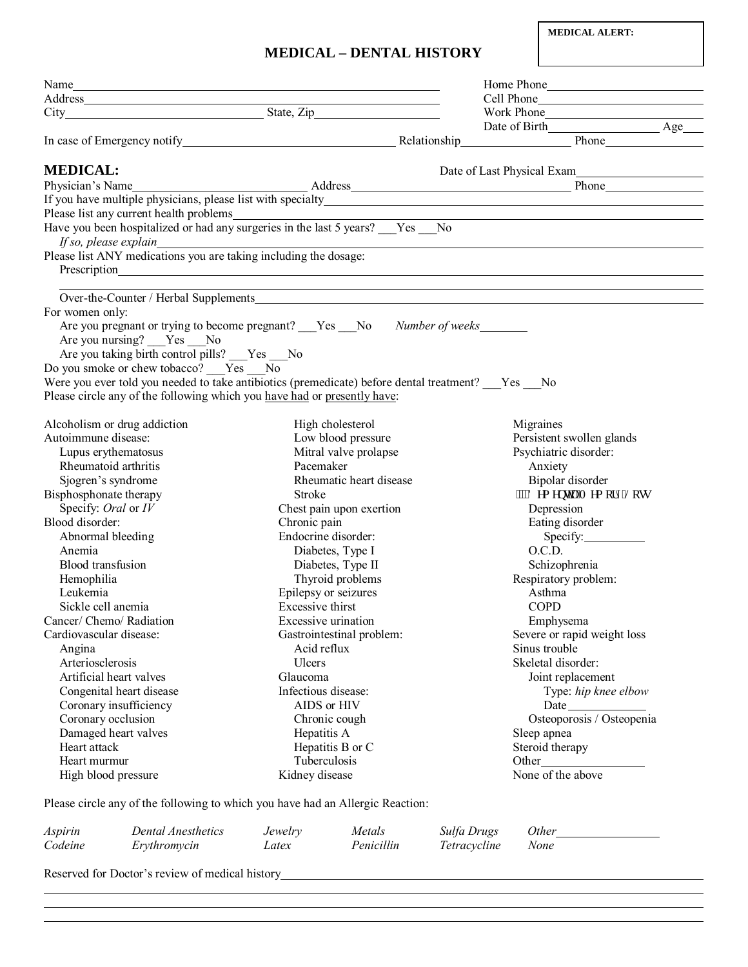## **MEDICAL – DENTAL HISTORY**

|                              | Name and the same state of the same state of the same state of the same state of the same state of the same state of the same state of the same state of the same state of the same state of the same state of the same state |                     |                           |              |                                                                                                                                                |  |
|------------------------------|-------------------------------------------------------------------------------------------------------------------------------------------------------------------------------------------------------------------------------|---------------------|---------------------------|--------------|------------------------------------------------------------------------------------------------------------------------------------------------|--|
|                              |                                                                                                                                                                                                                               |                     |                           |              |                                                                                                                                                |  |
|                              |                                                                                                                                                                                                                               |                     |                           |              | Work Phone                                                                                                                                     |  |
|                              |                                                                                                                                                                                                                               |                     |                           |              | Date of Birth Age                                                                                                                              |  |
|                              |                                                                                                                                                                                                                               |                     |                           |              | In case of Emergency notify Relationship Phone Phone Phone Phone                                                                               |  |
| <b>MEDICAL:</b>              |                                                                                                                                                                                                                               |                     |                           |              | Date of Last Physical Exam                                                                                                                     |  |
|                              |                                                                                                                                                                                                                               |                     |                           |              |                                                                                                                                                |  |
|                              |                                                                                                                                                                                                                               |                     |                           |              | Physician's Name<br>If you have multiple physicians, please list with specialty<br>If you have multiple physicians, please list with specialty |  |
|                              |                                                                                                                                                                                                                               |                     |                           |              |                                                                                                                                                |  |
|                              | Please list any current health problems<br>Have you been hospitalized or had any surgeries in the last 5 years? ___Yes ___No                                                                                                  |                     |                           |              |                                                                                                                                                |  |
|                              | <i>If so, please explain_</i><br>Please list ANY medications you are taking including the dosage:                                                                                                                             |                     |                           |              |                                                                                                                                                |  |
|                              |                                                                                                                                                                                                                               |                     |                           |              |                                                                                                                                                |  |
|                              |                                                                                                                                                                                                                               |                     |                           |              | ,我们也不会有什么。""我们的人,我们也不会有什么?""我们的人,我们也不会有什么?""我们的人,我们也不会有什么?""我们的人,我们也不会有什么?""我们的人                                                               |  |
| For women only:              |                                                                                                                                                                                                                               |                     |                           |              |                                                                                                                                                |  |
|                              | Are you pregnant or trying to become pregnant? Yes No Number of weeks                                                                                                                                                         |                     |                           |              |                                                                                                                                                |  |
|                              | Are you nursing? __Yes __No                                                                                                                                                                                                   |                     |                           |              |                                                                                                                                                |  |
|                              | Are you taking birth control pills? ___Yes ___No                                                                                                                                                                              |                     |                           |              |                                                                                                                                                |  |
|                              | Do you smoke or chew tobacco? Yes No                                                                                                                                                                                          |                     |                           |              |                                                                                                                                                |  |
|                              | Were you ever told you needed to take antibiotics (premedicate) before dental treatment? ___ Yes ___ No                                                                                                                       |                     |                           |              |                                                                                                                                                |  |
|                              | Please circle any of the following which you have had or presently have:                                                                                                                                                      |                     |                           |              |                                                                                                                                                |  |
|                              |                                                                                                                                                                                                                               |                     |                           |              |                                                                                                                                                |  |
| Alcoholism or drug addiction |                                                                                                                                                                                                                               |                     | High cholesterol          |              | Migraines                                                                                                                                      |  |
| Autoimmune disease:          |                                                                                                                                                                                                                               |                     | Low blood pressure        |              | Persistent swollen glands                                                                                                                      |  |
|                              |                                                                                                                                                                                                                               |                     | Mitral valve prolapse     |              | Psychiatric disorder:                                                                                                                          |  |
| Lupus erythematosus          |                                                                                                                                                                                                                               |                     |                           |              |                                                                                                                                                |  |
| Rheumatoid arthritis         |                                                                                                                                                                                                                               | Pacemaker           |                           |              | Anxiety                                                                                                                                        |  |
| Sjogren's syndrome           |                                                                                                                                                                                                                               |                     | Rheumatic heart disease   |              | Bipolar disorder                                                                                                                               |  |
| Bisphosphonate therapy       |                                                                                                                                                                                                                               | Stroke              |                           |              | """F go gpvkc1O go qt { 'Nquu                                                                                                                  |  |
| Specify: Oral or IV          |                                                                                                                                                                                                                               |                     | Chest pain upon exertion  |              | Depression                                                                                                                                     |  |
| Blood disorder:              |                                                                                                                                                                                                                               | Chronic pain        |                           |              | Eating disorder                                                                                                                                |  |
| Abnormal bleeding            |                                                                                                                                                                                                                               | Endocrine disorder: |                           |              | Specify:                                                                                                                                       |  |
| Anemia                       |                                                                                                                                                                                                                               |                     | Diabetes, Type I          |              | O.C.D.                                                                                                                                         |  |
| <b>Blood</b> transfusion     |                                                                                                                                                                                                                               |                     | Diabetes, Type II         |              | Schizophrenia                                                                                                                                  |  |
| Hemophilia                   |                                                                                                                                                                                                                               |                     | Thyroid problems          |              | Respiratory problem:                                                                                                                           |  |
| Leukemia                     |                                                                                                                                                                                                                               |                     | Epilepsy or seizures      |              | Asthma                                                                                                                                         |  |
| Sickle cell anemia           |                                                                                                                                                                                                                               | Excessive thirst    |                           |              | <b>COPD</b>                                                                                                                                    |  |
| Cancer/ Chemo/ Radiation     |                                                                                                                                                                                                                               | Excessive urination |                           |              | Emphysema                                                                                                                                      |  |
| Cardiovascular disease:      |                                                                                                                                                                                                                               |                     | Gastrointestinal problem: |              | Severe or rapid weight loss                                                                                                                    |  |
| Angina                       |                                                                                                                                                                                                                               | Acid reflux         |                           |              | Sinus trouble                                                                                                                                  |  |
| Arteriosclerosis             |                                                                                                                                                                                                                               | Ulcers              |                           |              | Skeletal disorder:                                                                                                                             |  |
| Artificial heart valves      |                                                                                                                                                                                                                               | Glaucoma            |                           |              | Joint replacement                                                                                                                              |  |
|                              | Congenital heart disease                                                                                                                                                                                                      | Infectious disease: |                           |              | Type: hip knee elbow                                                                                                                           |  |
| Coronary insufficiency       |                                                                                                                                                                                                                               | AIDS or HIV         |                           |              |                                                                                                                                                |  |
| Coronary occlusion           |                                                                                                                                                                                                                               | Chronic cough       |                           |              | Osteoporosis / Osteopenia                                                                                                                      |  |
| Damaged heart valves         |                                                                                                                                                                                                                               | Hepatitis A         |                           |              | Sleep apnea                                                                                                                                    |  |
| Heart attack                 |                                                                                                                                                                                                                               |                     | Hepatitis B or C          |              | Steroid therapy                                                                                                                                |  |
| Heart murmur                 |                                                                                                                                                                                                                               | Tuberculosis        |                           |              |                                                                                                                                                |  |
| High blood pressure          |                                                                                                                                                                                                                               | Kidney disease      |                           |              | None of the above                                                                                                                              |  |
|                              | Please circle any of the following to which you have had an Allergic Reaction:                                                                                                                                                |                     |                           |              |                                                                                                                                                |  |
| Aspirin                      | <b>Dental Anesthetics</b>                                                                                                                                                                                                     | Jewelry             | Metals                    | Sulfa Drugs  | <i>Other</i>                                                                                                                                   |  |
| Codeine                      | Erythromycin                                                                                                                                                                                                                  | Latex               | Penicillin                | Tetracycline | None                                                                                                                                           |  |
|                              |                                                                                                                                                                                                                               |                     |                           |              |                                                                                                                                                |  |
|                              | Reserved for Doctor's review of medical history                                                                                                                                                                               |                     |                           |              |                                                                                                                                                |  |

l

 $\overline{a}$